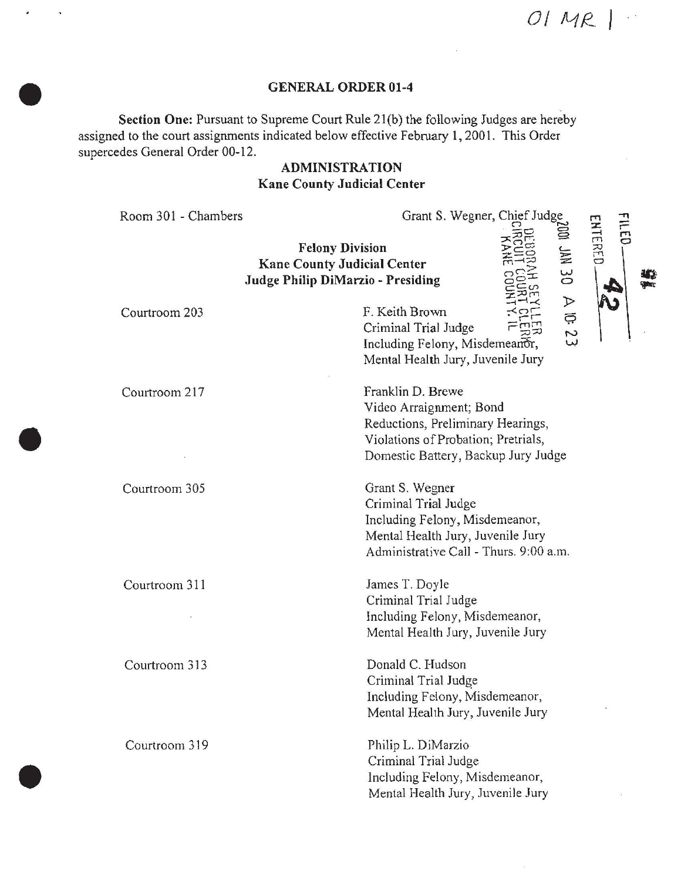*05*

#### **GENERAL ORDER 01-4**

Section One: Pursuant to Supreme Court Rule 21(b) the following Judges are hereby assigned to the court assignments indicated below effective February **1,** 2001. This Order supercedes General Order 00-12.

# **ADMINISTRATION Kane County Judicial Center**

| Room 301 - Chambers | Grant S. Wegner, Chief Judge                                                                                                                                    | <b>FILED</b><br>ENTERED |
|---------------------|-----------------------------------------------------------------------------------------------------------------------------------------------------------------|-------------------------|
|                     | <b>Felony Division</b><br>E<br><b>Kane County Judicial Center</b><br>$\frac{2}{\sqrt{2}}$<br><b>Judge Philip DiMarzio - Presiding</b>                           |                         |
| Courtroom 203       | $\triangleright$<br>F. Keith Brown<br>$\Xi$<br>Criminal Trial Judge<br>$\mathcal{L}$<br>Including Felony, Misdemeanor,<br>Mental Health Jury, Juvenile Jury     |                         |
| Courtroom 217       | Franklin D. Brewe<br>Video Arraignment; Bond<br>Reductions, Preliminary Hearings,<br>Violations of Probation; Pretrials,<br>Domestic Battery, Backup Jury Judge |                         |
| Courtroom 305       | Grant S. Wegner<br>Criminal Trial Judge<br>Including Felony, Misdemeanor,<br>Mental Health Jury, Juvenile Jury<br>Administrative Call - Thurs. 9:00 a.m.        |                         |
| Courtroom 311       | James T. Doyle<br>Criminal Trial Judge<br>Including Felony, Misdemeanor,<br>Mental Health Jury, Juvenile Jury                                                   |                         |
| Courtroom 313       | Donald C. Hudson<br>Criminal Trial Judge<br>Including Felony, Misdemeanor,<br>Mental Health Jury, Juvenile Jury                                                 |                         |
| Courtroom 319       | Philip L. DiMarzio<br>Criminal Trial Judge<br>Including Felony, Misdemeanor,<br>Mental Health Jury, Juvenile Jury                                               |                         |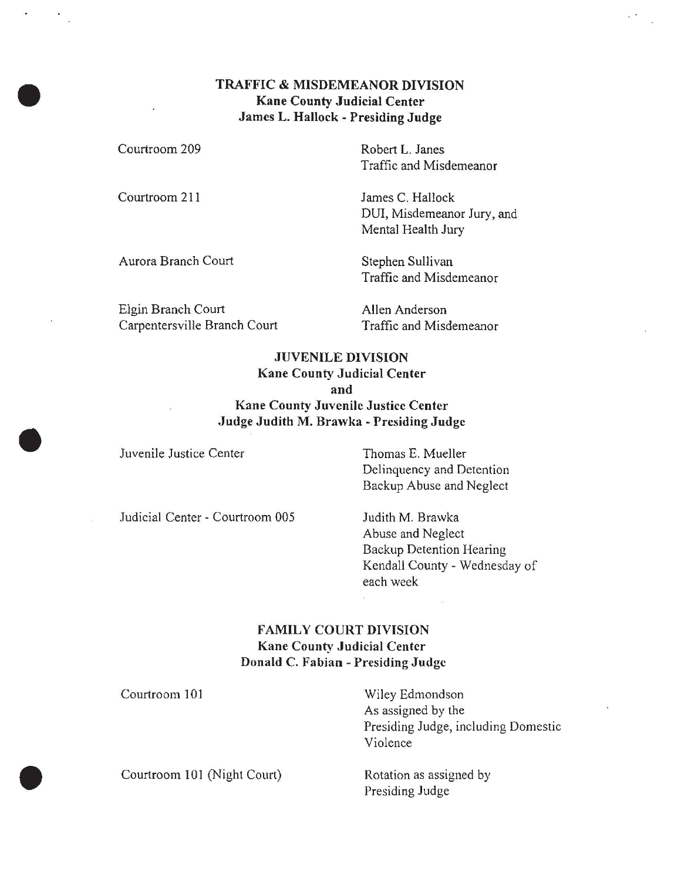### TRAFFIC & MISDEMEANOR DIVISION Kane County Judicial Center James L. Hallock - Presiding Judge

Courtroom 209

Courtroom 211

Robert L. Janes Traffic and Misdemeanor

James C. Hallock DUI, Misdemeanor Jury, and Mental Health Jury

Aurora Branch Court Stephen Sullivan

Traffic and Misdemeanor

Elgin Branch Court Carpentersville Branch Court Allen Anderson Traffic and Misdemeanor

## JUVENILE DIVISION Kane County Judicial Center and Kane County Juvenile Justice Center .Judge Judith M. Brawka - Presiding Judge

Juvenile Justice Center Thomas E. Mueller

Delinquency and Detention Backup Abuse and Neglect

Judicial Center - Courtroom 005 Judith M. Brawka

Abuse and Neglect Backup Detention Hearing Kendall County - Wednesday of each week

## FAMILY COURT DIVISION Kane County Judicial Center Donald C. Fabian - Presiding Judge

Courtroom 101 Wiley Edmondson As assigned by the Presiding Judge, including Domestic Violence Courtroom 101 (Night Court) Rotation as assigned by Presiding Judge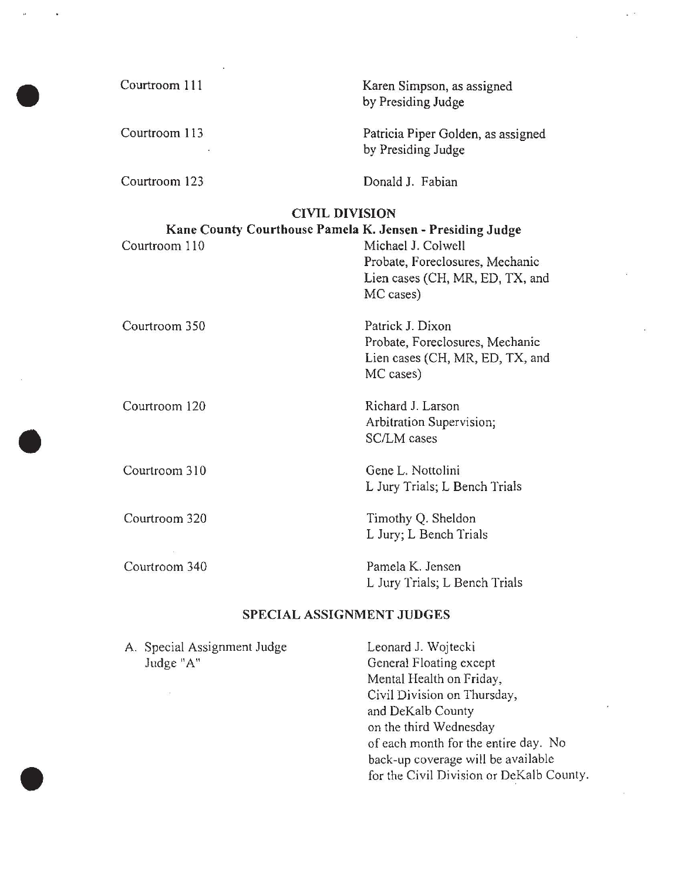Courtroom 111 Courtroom 113 Courtroom 123 Karen Simpson, as assigned by Presiding Judge Patricia Piper Golden, as assigned by Presiding Judge Donald J. Fabian CIVIL DIVISION Kane County Courthouse Pamela K. Jensen - Presiding Judge Courtroom 110 Michael J. Colwell Courtroom 350 Courtroom 120 Courtroom 310 Courtroom 320 Courtroom 340 Probate, Foreclosures, Mechanic Lien cases (CH, MR, ED, TX, and MC cases) Patrick J. Dixon Probate, Foreclosures, Mechanic Lien cases (CH, MR, ED, TX, and MC cases) Richard J. Larson Arbitration Supervision; SC/LM cases Gene L. Nottolini L Jury Trials; L Bench Trials Timothy Q. Sheldon L Jury; L Bench Trials Pamela K. Jensen L Jury Trials; L Bench Trials

#### SPECIAL ASSIGNMENT JUDGES

A. Special Assignment Judge Judge "A" Leonard J. Wojtecki General Floating except Mental Health on Friday,

Civil Division on Thursday, and DeKalb County on the third Wednesday of each month for the entire day. No back-up coverage will be available for the Civil Division or DeKalb County.